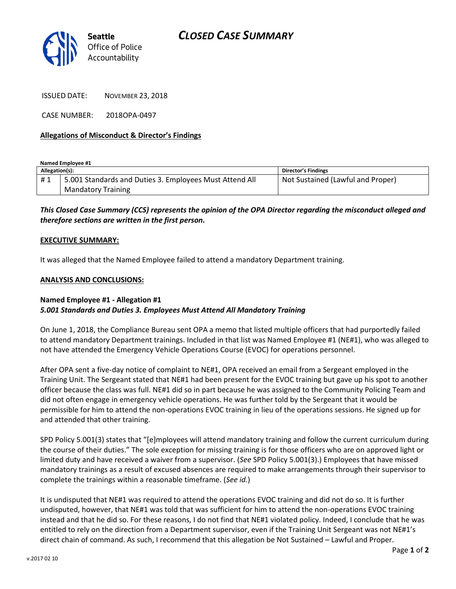

ISSUED DATE: NOVEMBER 23, 2018

CASE NUMBER: 2018OPA-0497

### **Allegations of Misconduct & Director's Findings**

**Named Employee #1**

| Allegation(s): |                                                         | Director's Findings               |
|----------------|---------------------------------------------------------|-----------------------------------|
| #1             | 5.001 Standards and Duties 3. Employees Must Attend All | Not Sustained (Lawful and Proper) |
|                | <b>Mandatory Training</b>                               |                                   |

*This Closed Case Summary (CCS) represents the opinion of the OPA Director regarding the misconduct alleged and therefore sections are written in the first person.* 

#### **EXECUTIVE SUMMARY:**

It was alleged that the Named Employee failed to attend a mandatory Department training.

#### **ANALYSIS AND CONCLUSIONS:**

## **Named Employee #1 - Allegation #1** *5.001 Standards and Duties 3. Employees Must Attend All Mandatory Training*

On June 1, 2018, the Compliance Bureau sent OPA a memo that listed multiple officers that had purportedly failed to attend mandatory Department trainings. Included in that list was Named Employee #1 (NE#1), who was alleged to not have attended the Emergency Vehicle Operations Course (EVOC) for operations personnel.

After OPA sent a five-day notice of complaint to NE#1, OPA received an email from a Sergeant employed in the Training Unit. The Sergeant stated that NE#1 had been present for the EVOC training but gave up his spot to another officer because the class was full. NE#1 did so in part because he was assigned to the Community Policing Team and did not often engage in emergency vehicle operations. He was further told by the Sergeant that it would be permissible for him to attend the non-operations EVOC training in lieu of the operations sessions. He signed up for and attended that other training.

SPD Policy 5.001(3) states that "[e]mployees will attend mandatory training and follow the current curriculum during the course of their duties." The sole exception for missing training is for those officers who are on approved light or limited duty and have received a waiver from a supervisor. (*See* SPD Policy 5.001(3).) Employees that have missed mandatory trainings as a result of excused absences are required to make arrangements through their supervisor to complete the trainings within a reasonable timeframe. (*See id.*)

It is undisputed that NE#1 was required to attend the operations EVOC training and did not do so. It is further undisputed, however, that NE#1 was told that was sufficient for him to attend the non-operations EVOC training instead and that he did so. For these reasons, I do not find that NE#1 violated policy. Indeed, I conclude that he was entitled to rely on the direction from a Department supervisor, even if the Training Unit Sergeant was not NE#1's direct chain of command. As such, I recommend that this allegation be Not Sustained – Lawful and Proper.